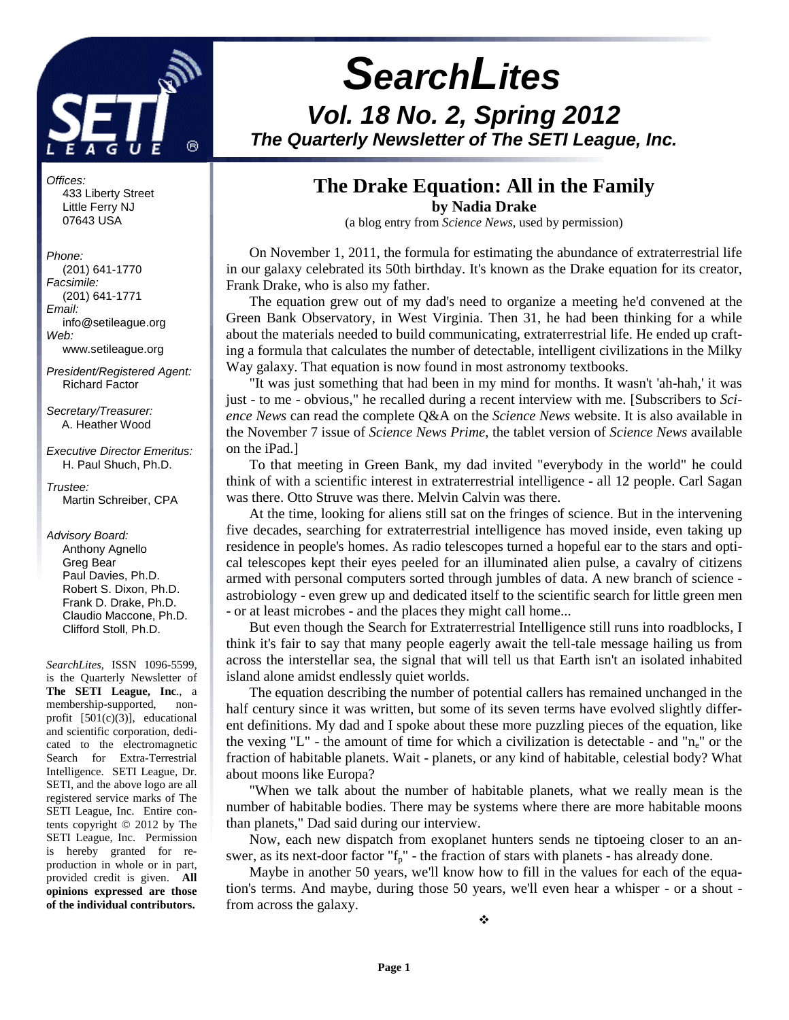

Offices: 433 Liberty Street Little Ferry NJ 07643 USA

Phone: (201) 641-1770 Facsimile: (201) 641-1771 Email: info@setileague.org Web: www.setileague.org

President/Registered Agent: Richard Factor

Secretary/Treasurer: A. Heather Wood

Executive Director Emeritus: H. Paul Shuch, Ph.D.

Trustee: Martin Schreiber, CPA

Advisory Board: Anthony Agnello Greg Bear Paul Davies, Ph.D. Robert S. Dixon, Ph.D. Frank D. Drake, Ph.D. Claudio Maccone, Ph.D. Clifford Stoll, Ph.D.

*SearchLites*, ISSN 1096-5599, is the Quarterly Newsletter of **The SETI League, Inc**., a membership-supported, nonprofit [501(c)(3)], educational and scientific corporation, dedicated to the electromagnetic Search for Extra-Terrestrial Intelligence. SETI League, Dr. SETI, and the above logo are all registered service marks of The SETI League, Inc. Entire contents copyright © 2012 by The SETI League, Inc. Permission is hereby granted for reproduction in whole or in part, provided credit is given. **All opinions expressed are those of the individual contributors.** 

# **SearchLites**

**Vol. 18 No. 2, Spring 2012 The Quarterly Newsletter of The SETI League, Inc.** 

#### **The Drake Equation: All in the Family by Nadia Drake**

(a blog entry from *Science News*, used by permission)

On November 1, 2011, the formula for estimating the abundance of extraterrestrial life in our galaxy celebrated its 50th birthday. It's known as the Drake equation for its creator, Frank Drake, who is also my father.

The equation grew out of my dad's need to organize a meeting he'd convened at the Green Bank Observatory, in West Virginia. Then 31, he had been thinking for a while about the materials needed to build communicating, extraterrestrial life. He ended up crafting a formula that calculates the number of detectable, intelligent civilizations in the Milky Way galaxy. That equation is now found in most astronomy textbooks.

"It was just something that had been in my mind for months. It wasn't 'ah-hah,' it was just - to me - obvious," he recalled during a recent interview with me. [Subscribers to *Science News* can read the complete Q&A on the *Science News* website. It is also available in the November 7 issue of *Science News Prime*, the tablet version of *Science News* available on the iPad.]

To that meeting in Green Bank, my dad invited "everybody in the world" he could think of with a scientific interest in extraterrestrial intelligence - all 12 people. Carl Sagan was there. Otto Struve was there. Melvin Calvin was there.

At the time, looking for aliens still sat on the fringes of science. But in the intervening five decades, searching for extraterrestrial intelligence has moved inside, even taking up residence in people's homes. As radio telescopes turned a hopeful ear to the stars and optical telescopes kept their eyes peeled for an illuminated alien pulse, a cavalry of citizens armed with personal computers sorted through jumbles of data. A new branch of science astrobiology - even grew up and dedicated itself to the scientific search for little green men - or at least microbes - and the places they might call home...

But even though the Search for Extraterrestrial Intelligence still runs into roadblocks, I think it's fair to say that many people eagerly await the tell-tale message hailing us from across the interstellar sea, the signal that will tell us that Earth isn't an isolated inhabited island alone amidst endlessly quiet worlds.

The equation describing the number of potential callers has remained unchanged in the half century since it was written, but some of its seven terms have evolved slightly different definitions. My dad and I spoke about these more puzzling pieces of the equation, like the vexing "L" - the amount of time for which a civilization is detectable - and " $n_e$ " or the fraction of habitable planets. Wait - planets, or any kind of habitable, celestial body? What about moons like Europa?

"When we talk about the number of habitable planets, what we really mean is the number of habitable bodies. There may be systems where there are more habitable moons than planets," Dad said during our interview.

Now, each new dispatch from exoplanet hunters sends ne tiptoeing closer to an answer, as its next-door factor " $f_p$ " - the fraction of stars with planets - has already done.

Maybe in another 50 years, we'll know how to fill in the values for each of the equation's terms. And maybe, during those 50 years, we'll even hear a whisper - or a shout from across the galaxy.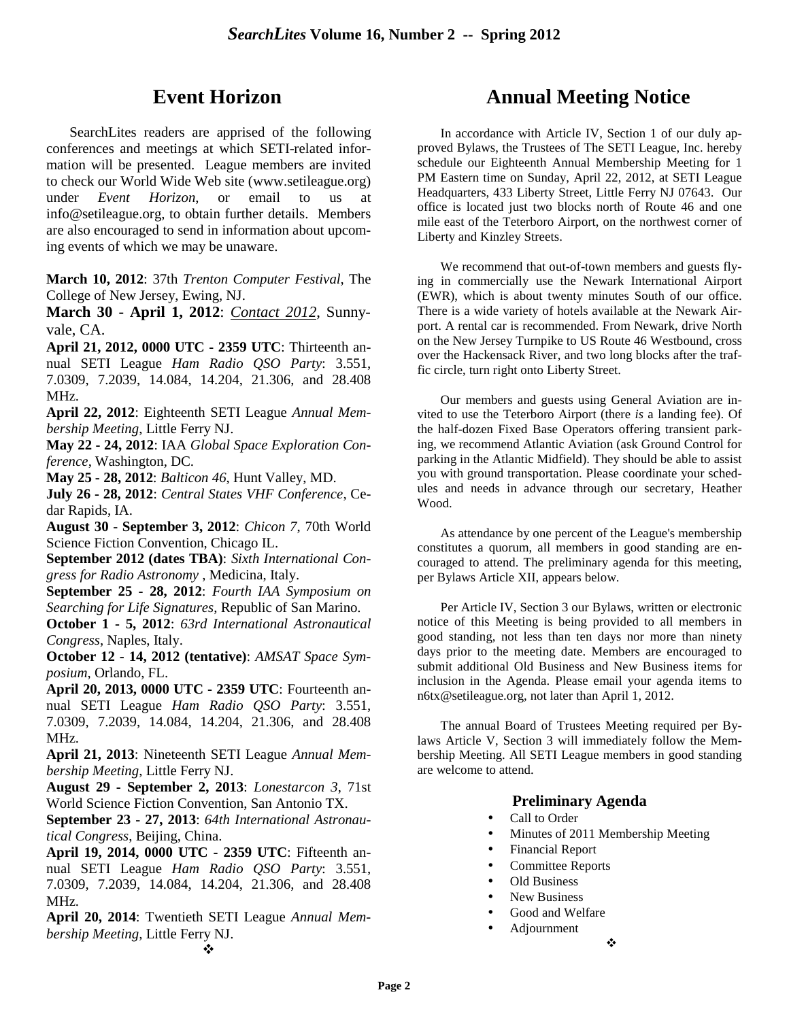# **Event Horizon**

SearchLites readers are apprised of the following conferences and meetings at which SETI-related information will be presented. League members are invited to check our World Wide Web site (www.setileague.org) under *Event Horizon*, or email to us at info@setileague.org, to obtain further details. Members are also encouraged to send in information about upcoming events of which we may be unaware.

**March 10, 2012**: 37th *Trenton Computer Festival*, The College of New Jersey, Ewing, NJ.

**March 30 - April 1, 2012**: *Contact 2012*, Sunnyvale, CA.

**April 21, 2012, 0000 UTC - 2359 UTC**: Thirteenth annual SETI League *Ham Radio QSO Party*: 3.551, 7.0309, 7.2039, 14.084, 14.204, 21.306, and 28.408 MHz.

**April 22, 2012**: Eighteenth SETI League *Annual Membership Meeting*, Little Ferry NJ.

**May 22 - 24, 2012**: IAA *Global Space Exploration Conference*, Washington, DC.

**May 25 - 28, 2012**: *Balticon 46*, Hunt Valley, MD.

**July 26 - 28, 2012**: *Central States VHF Conference*, Cedar Rapids, IA.

**August 30 - September 3, 2012**: *Chicon 7*, 70th World Science Fiction Convention, Chicago IL.

**September 2012 (dates TBA)**: *Sixth International Congress for Radio Astronomy* , Medicina, Italy.

**September 25 - 28, 2012**: *Fourth IAA Symposium on Searching for Life Signatures*, Republic of San Marino.

**October 1 - 5, 2012**: *63rd International Astronautical Congress*, Naples, Italy.

**October 12 - 14, 2012 (tentative)**: *AMSAT Space Symposium*, Orlando, FL.

**April 20, 2013, 0000 UTC - 2359 UTC**: Fourteenth annual SETI League *Ham Radio QSO Party*: 3.551, 7.0309, 7.2039, 14.084, 14.204, 21.306, and 28.408 MHz.

**April 21, 2013**: Nineteenth SETI League *Annual Membership Meeting*, Little Ferry NJ.

**August 29 - September 2, 2013**: *Lonestarcon 3*, 71st World Science Fiction Convention, San Antonio TX.

**September 23 - 27, 2013**: *64th International Astronautical Congress*, Beijing, China.

**April 19, 2014, 0000 UTC - 2359 UTC**: Fifteenth annual SETI League *Ham Radio QSO Party*: 3.551, 7.0309, 7.2039, 14.084, 14.204, 21.306, and 28.408 MHz.

**April 20, 2014**: Twentieth SETI League *Annual Membership Meeting,* Little Ferry NJ.

❖

# **Annual Meeting Notice**

In accordance with Article IV, Section 1 of our duly approved Bylaws, the Trustees of The SETI League, Inc. hereby schedule our Eighteenth Annual Membership Meeting for 1 PM Eastern time on Sunday, April 22, 2012, at SETI League Headquarters, 433 Liberty Street, Little Ferry NJ 07643. Our office is located just two blocks north of Route 46 and one mile east of the Teterboro Airport, on the northwest corner of Liberty and Kinzley Streets.

We recommend that out-of-town members and guests flying in commercially use the Newark International Airport (EWR), which is about twenty minutes South of our office. There is a wide variety of hotels available at the Newark Airport. A rental car is recommended. From Newark, drive North on the New Jersey Turnpike to US Route 46 Westbound, cross over the Hackensack River, and two long blocks after the traffic circle, turn right onto Liberty Street.

Our members and guests using General Aviation are invited to use the Teterboro Airport (there *is* a landing fee). Of the half-dozen Fixed Base Operators offering transient parking, we recommend Atlantic Aviation (ask Ground Control for parking in the Atlantic Midfield). They should be able to assist you with ground transportation. Please coordinate your schedules and needs in advance through our secretary, Heather Wood.

As attendance by one percent of the League's membership constitutes a quorum, all members in good standing are encouraged to attend. The preliminary agenda for this meeting, per Bylaws Article XII, appears below.

Per Article IV, Section 3 our Bylaws, written or electronic notice of this Meeting is being provided to all members in good standing, not less than ten days nor more than ninety days prior to the meeting date. Members are encouraged to submit additional Old Business and New Business items for inclusion in the Agenda. Please email your agenda items to n6tx@setileague.org, not later than April 1, 2012.

The annual Board of Trustees Meeting required per Bylaws Article V, Section 3 will immediately follow the Membership Meeting. All SETI League members in good standing are welcome to attend.

#### **Preliminary Agenda**

- Call to Order
- Minutes of 2011 Membership Meeting
- Financial Report
- Committee Reports
- Old Business
- New Business
- Good and Welfare • Adjournment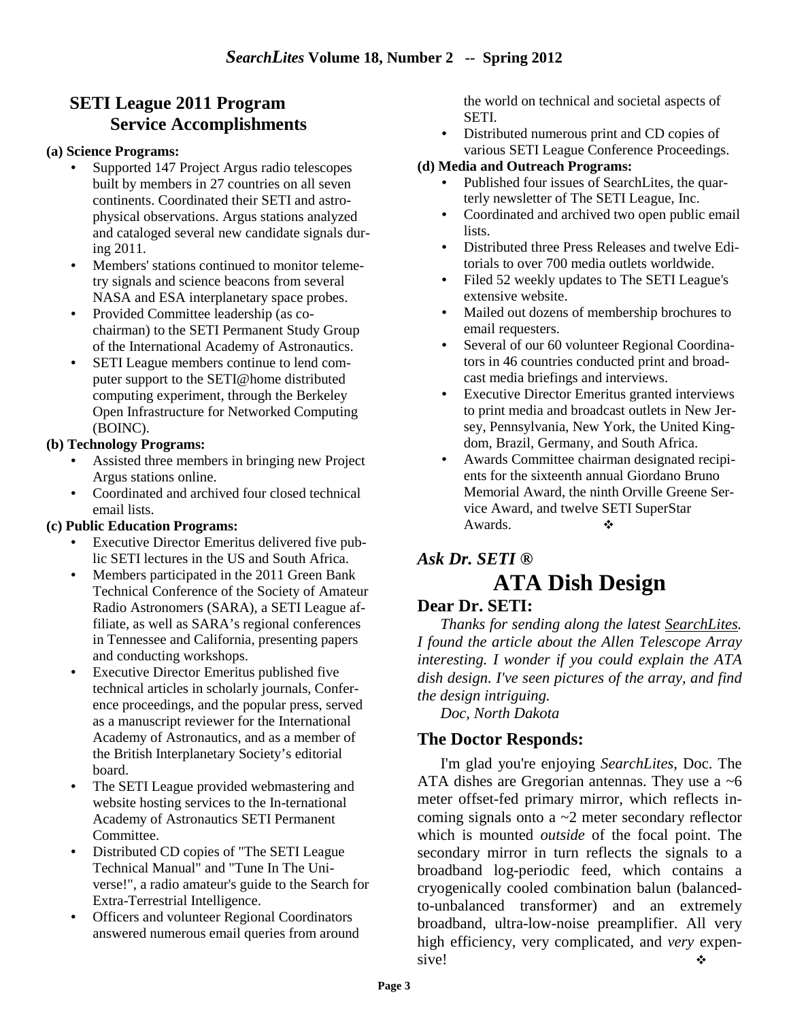## **SETI League 2011 Program Service Accomplishments**

#### **(a) Science Programs:**

- Supported 147 Project Argus radio telescopes built by members in 27 countries on all seven continents. Coordinated their SETI and astrophysical observations. Argus stations analyzed and cataloged several new candidate signals during 2011.
- Members' stations continued to monitor telemetry signals and science beacons from several NASA and ESA interplanetary space probes.
- Provided Committee leadership (as cochairman) to the SETI Permanent Study Group of the International Academy of Astronautics.
- SETI League members continue to lend computer support to the SETI@home distributed computing experiment, through the Berkeley Open Infrastructure for Networked Computing (BOINC).

#### **(b) Technology Programs:**

- Assisted three members in bringing new Project Argus stations online.
- Coordinated and archived four closed technical email lists.

#### **(c) Public Education Programs:**

- Executive Director Emeritus delivered five public SETI lectures in the US and South Africa.
- Members participated in the 2011 Green Bank Technical Conference of the Society of Amateur Radio Astronomers (SARA), a SETI League affiliate, as well as SARA's regional conferences in Tennessee and California, presenting papers and conducting workshops.
- Executive Director Emeritus published five technical articles in scholarly journals, Conference proceedings, and the popular press, served as a manuscript reviewer for the International Academy of Astronautics, and as a member of the British Interplanetary Society's editorial board.
- The SETI League provided webmastering and website hosting services to the In-ternational Academy of Astronautics SETI Permanent Committee.
- Distributed CD copies of "The SETI League Technical Manual" and "Tune In The Universe!", a radio amateur's guide to the Search for Extra-Terrestrial Intelligence.
- Officers and volunteer Regional Coordinators answered numerous email queries from around

the world on technical and societal aspects of SETI.

• Distributed numerous print and CD copies of various SETI League Conference Proceedings.

#### **(d) Media and Outreach Programs:**

- Published four issues of SearchLites, the quarterly newsletter of The SETI League, Inc.
- Coordinated and archived two open public email lists.
- Distributed three Press Releases and twelve Editorials to over 700 media outlets worldwide.
- Filed 52 weekly updates to The SETI League's extensive website.
- Mailed out dozens of membership brochures to email requesters.
- Several of our 60 volunteer Regional Coordinators in 46 countries conducted print and broadcast media briefings and interviews.
- Executive Director Emeritus granted interviews to print media and broadcast outlets in New Jersey, Pennsylvania, New York, the United Kingdom, Brazil, Germany, and South Africa.
- Awards Committee chairman designated recipients for the sixteenth annual Giordano Bruno Memorial Award, the ninth Orville Greene Service Award, and twelve SETI SuperStar Awards.

# *Ask Dr. SETI ®*  **ATA Dish Design**

## **Dear Dr. SETI:**

*Thanks for sending along the latest SearchLites. I found the article about the Allen Telescope Array interesting. I wonder if you could explain the ATA dish design. I've seen pictures of the array, and find the design intriguing.* 

*Doc, North Dakota* 

#### **The Doctor Responds:**

I'm glad you're enjoying *SearchLites*, Doc. The ATA dishes are Gregorian antennas. They use a  $\nu$ 6 meter offset-fed primary mirror, which reflects incoming signals onto a ~2 meter secondary reflector which is mounted *outside* of the focal point. The secondary mirror in turn reflects the signals to a broadband log-periodic feed, which contains a cryogenically cooled combination balun (balancedto-unbalanced transformer) and an extremely broadband, ultra-low-noise preamplifier. All very high efficiency, very complicated, and *very* expensive!  $\bullet$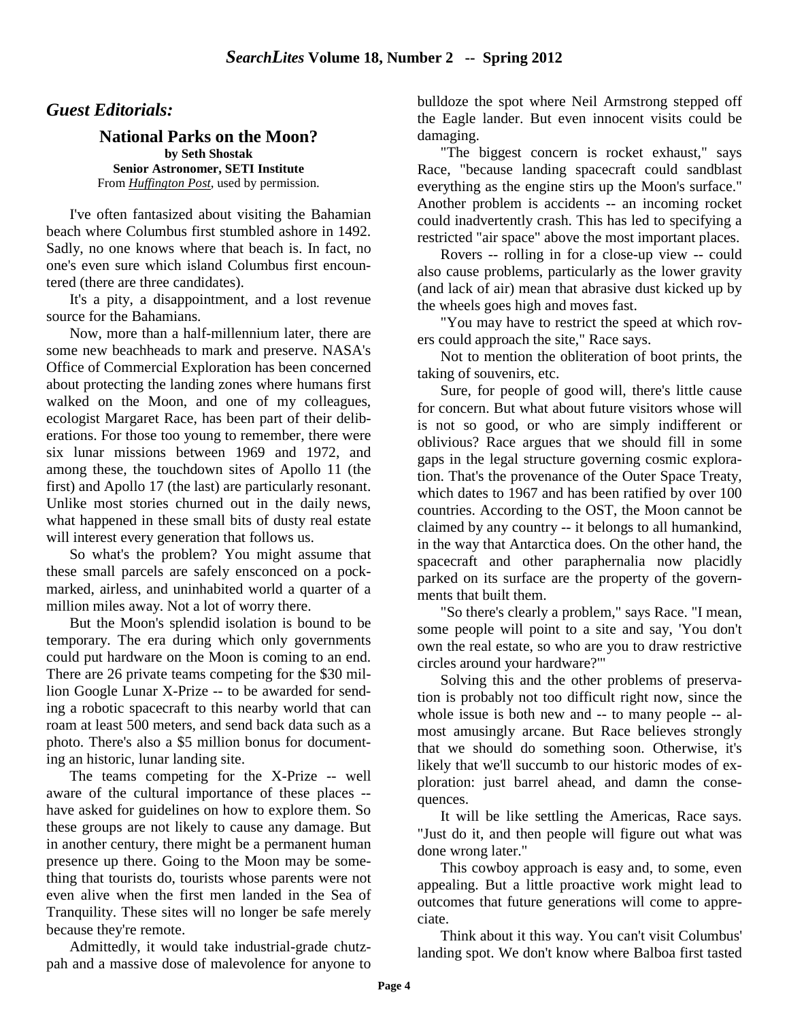#### *Guest Editorials:*

#### **National Parks on the Moon? by Seth Shostak Senior Astronomer, SETI Institute**  From *Huffington Post*, used by permission.

I've often fantasized about visiting the Bahamian beach where Columbus first stumbled ashore in 1492. Sadly, no one knows where that beach is. In fact, no one's even sure which island Columbus first encountered (there are three candidates).

It's a pity, a disappointment, and a lost revenue source for the Bahamians.

Now, more than a half-millennium later, there are some new beachheads to mark and preserve. NASA's Office of Commercial Exploration has been concerned about protecting the landing zones where humans first walked on the Moon, and one of my colleagues, ecologist Margaret Race, has been part of their deliberations. For those too young to remember, there were six lunar missions between 1969 and 1972, and among these, the touchdown sites of Apollo 11 (the first) and Apollo 17 (the last) are particularly resonant. Unlike most stories churned out in the daily news, what happened in these small bits of dusty real estate will interest every generation that follows us.

So what's the problem? You might assume that these small parcels are safely ensconced on a pockmarked, airless, and uninhabited world a quarter of a million miles away. Not a lot of worry there.

But the Moon's splendid isolation is bound to be temporary. The era during which only governments could put hardware on the Moon is coming to an end. There are 26 private teams competing for the \$30 million Google Lunar X-Prize -- to be awarded for sending a robotic spacecraft to this nearby world that can roam at least 500 meters, and send back data such as a photo. There's also a \$5 million bonus for documenting an historic, lunar landing site.

The teams competing for the X-Prize -- well aware of the cultural importance of these places - have asked for guidelines on how to explore them. So these groups are not likely to cause any damage. But in another century, there might be a permanent human presence up there. Going to the Moon may be something that tourists do, tourists whose parents were not even alive when the first men landed in the Sea of Tranquility. These sites will no longer be safe merely because they're remote.

Admittedly, it would take industrial-grade chutzpah and a massive dose of malevolence for anyone to bulldoze the spot where Neil Armstrong stepped off the Eagle lander. But even innocent visits could be damaging.

"The biggest concern is rocket exhaust," says Race, "because landing spacecraft could sandblast everything as the engine stirs up the Moon's surface." Another problem is accidents -- an incoming rocket could inadvertently crash. This has led to specifying a restricted "air space" above the most important places.

Rovers -- rolling in for a close-up view -- could also cause problems, particularly as the lower gravity (and lack of air) mean that abrasive dust kicked up by the wheels goes high and moves fast.

"You may have to restrict the speed at which rovers could approach the site," Race says.

Not to mention the obliteration of boot prints, the taking of souvenirs, etc.

Sure, for people of good will, there's little cause for concern. But what about future visitors whose will is not so good, or who are simply indifferent or oblivious? Race argues that we should fill in some gaps in the legal structure governing cosmic exploration. That's the provenance of the Outer Space Treaty, which dates to 1967 and has been ratified by over 100 countries. According to the OST, the Moon cannot be claimed by any country -- it belongs to all humankind, in the way that Antarctica does. On the other hand, the spacecraft and other paraphernalia now placidly parked on its surface are the property of the governments that built them.

"So there's clearly a problem," says Race. "I mean, some people will point to a site and say, 'You don't own the real estate, so who are you to draw restrictive circles around your hardware?'"

Solving this and the other problems of preservation is probably not too difficult right now, since the whole issue is both new and -- to many people -- almost amusingly arcane. But Race believes strongly that we should do something soon. Otherwise, it's likely that we'll succumb to our historic modes of exploration: just barrel ahead, and damn the consequences.

It will be like settling the Americas, Race says. "Just do it, and then people will figure out what was done wrong later."

This cowboy approach is easy and, to some, even appealing. But a little proactive work might lead to outcomes that future generations will come to appreciate.

Think about it this way. You can't visit Columbus' landing spot. We don't know where Balboa first tasted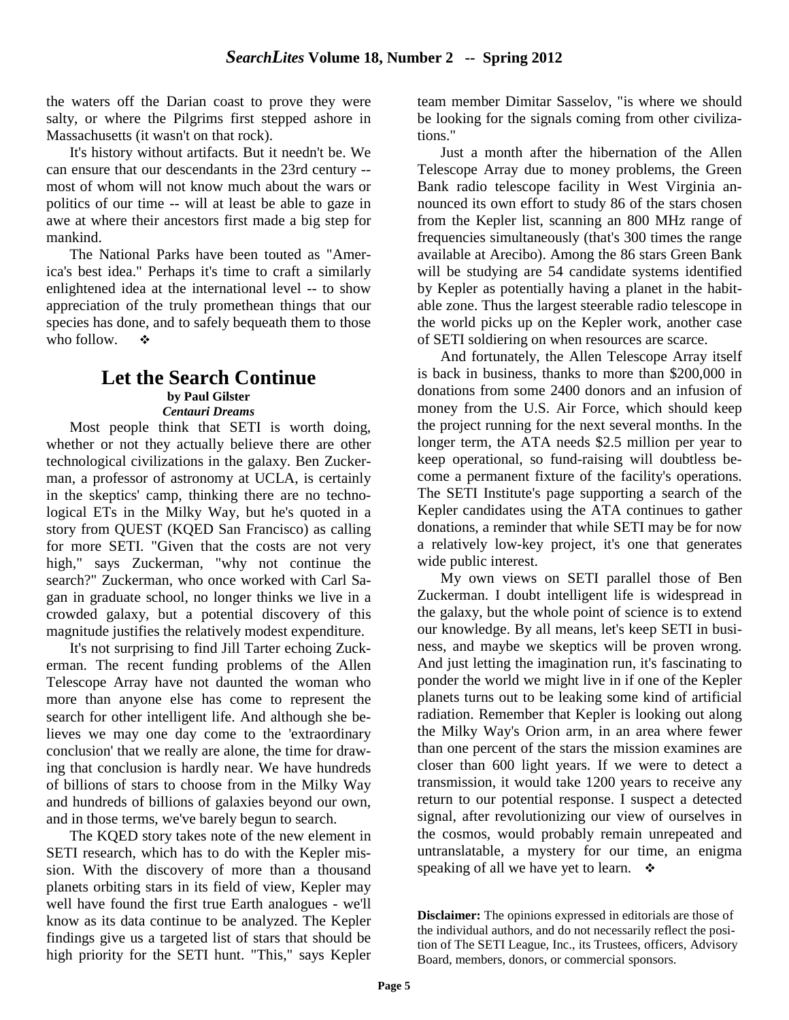the waters off the Darian coast to prove they were salty, or where the Pilgrims first stepped ashore in Massachusetts (it wasn't on that rock).

It's history without artifacts. But it needn't be. We can ensure that our descendants in the 23rd century - most of whom will not know much about the wars or politics of our time -- will at least be able to gaze in awe at where their ancestors first made a big step for mankind.

The National Parks have been touted as "America's best idea." Perhaps it's time to craft a similarly enlightened idea at the international level -- to show appreciation of the truly promethean things that our species has done, and to safely bequeath them to those who follow.

#### **Let the Search Continue by Paul Gilster**

*Centauri Dreams*

Most people think that SETI is worth doing, whether or not they actually believe there are other technological civilizations in the galaxy. Ben Zuckerman, a professor of astronomy at UCLA, is certainly in the skeptics' camp, thinking there are no technological ETs in the Milky Way, but he's quoted in a story from QUEST (KQED San Francisco) as calling for more SETI. "Given that the costs are not very high," says Zuckerman, "why not continue the search?" Zuckerman, who once worked with Carl Sagan in graduate school, no longer thinks we live in a crowded galaxy, but a potential discovery of this magnitude justifies the relatively modest expenditure.

It's not surprising to find Jill Tarter echoing Zuckerman. The recent funding problems of the Allen Telescope Array have not daunted the woman who more than anyone else has come to represent the search for other intelligent life. And although she believes we may one day come to the 'extraordinary conclusion' that we really are alone, the time for drawing that conclusion is hardly near. We have hundreds of billions of stars to choose from in the Milky Way and hundreds of billions of galaxies beyond our own, and in those terms, we've barely begun to search.

The KQED story takes note of the new element in SETI research, which has to do with the Kepler mission. With the discovery of more than a thousand planets orbiting stars in its field of view, Kepler may well have found the first true Earth analogues - we'll know as its data continue to be analyzed. The Kepler findings give us a targeted list of stars that should be high priority for the SETI hunt. "This," says Kepler team member Dimitar Sasselov, "is where we should be looking for the signals coming from other civilizations."

Just a month after the hibernation of the Allen Telescope Array due to money problems, the Green Bank radio telescope facility in West Virginia announced its own effort to study 86 of the stars chosen from the Kepler list, scanning an 800 MHz range of frequencies simultaneously (that's 300 times the range available at Arecibo). Among the 86 stars Green Bank will be studying are 54 candidate systems identified by Kepler as potentially having a planet in the habitable zone. Thus the largest steerable radio telescope in the world picks up on the Kepler work, another case of SETI soldiering on when resources are scarce.

And fortunately, the Allen Telescope Array itself is back in business, thanks to more than \$200,000 in donations from some 2400 donors and an infusion of money from the U.S. Air Force, which should keep the project running for the next several months. In the longer term, the ATA needs \$2.5 million per year to keep operational, so fund-raising will doubtless become a permanent fixture of the facility's operations. The SETI Institute's page supporting a search of the Kepler candidates using the ATA continues to gather donations, a reminder that while SETI may be for now a relatively low-key project, it's one that generates wide public interest.

My own views on SETI parallel those of Ben Zuckerman. I doubt intelligent life is widespread in the galaxy, but the whole point of science is to extend our knowledge. By all means, let's keep SETI in business, and maybe we skeptics will be proven wrong. And just letting the imagination run, it's fascinating to ponder the world we might live in if one of the Kepler planets turns out to be leaking some kind of artificial radiation. Remember that Kepler is looking out along the Milky Way's Orion arm, in an area where fewer than one percent of the stars the mission examines are closer than 600 light years. If we were to detect a transmission, it would take 1200 years to receive any return to our potential response. I suspect a detected signal, after revolutionizing our view of ourselves in the cosmos, would probably remain unrepeated and untranslatable, a mystery for our time, an enigma speaking of all we have yet to learn.  $\cdot \cdot$ 

**Disclaimer:** The opinions expressed in editorials are those of the individual authors, and do not necessarily reflect the position of The SETI League, Inc., its Trustees, officers, Advisory Board, members, donors, or commercial sponsors.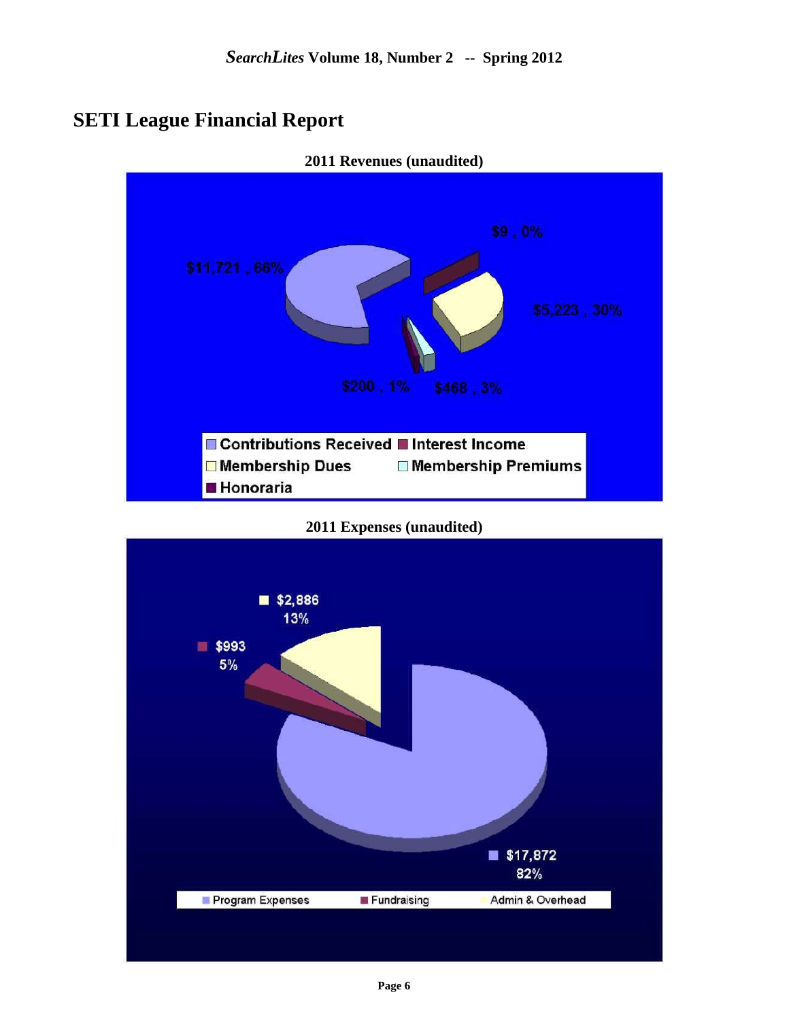## **SETI League Financial Report**



**2011 Revenues (unaudited)** 



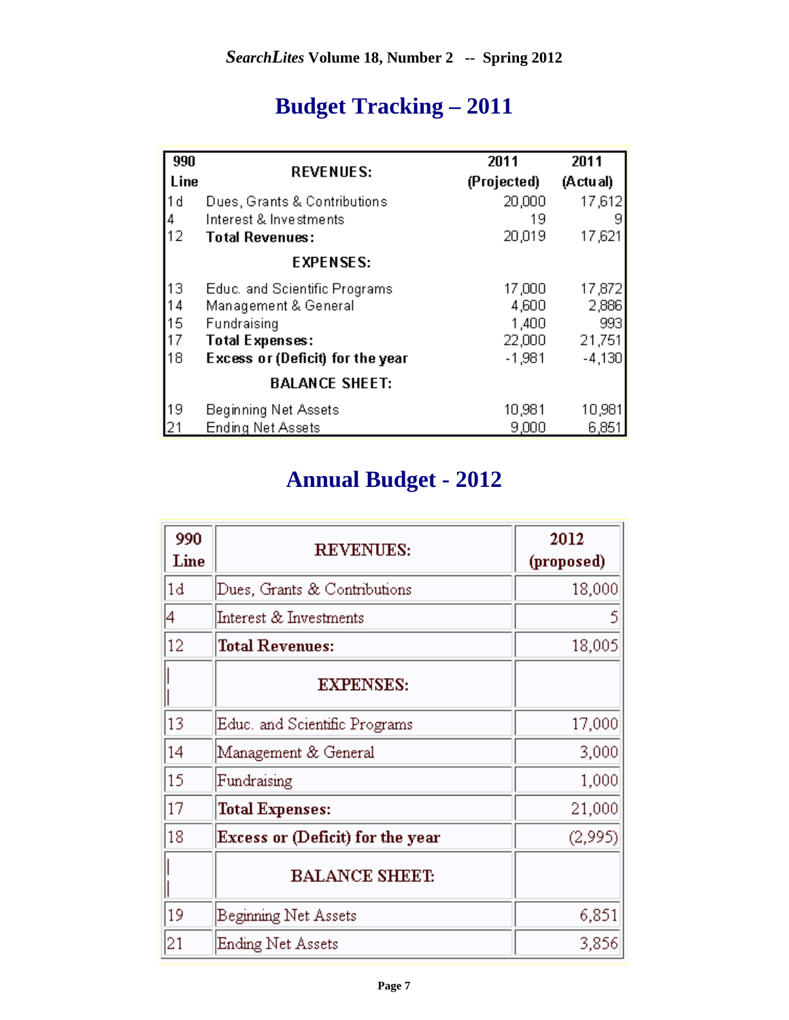# **Budget Tracking – 2011**

| 990  |                                  | 2011        | 2011     |
|------|----------------------------------|-------------|----------|
| Line | <b>REVENUES:</b>                 | (Projected) | (Actual) |
| 1d   | Dues, Grants & Contributions     | 20,000      | 17,612   |
| 4    | Interest & Investments           | 19          | 9        |
| 12   | <b>Total Revenues:</b>           | 20,019      | 17,621   |
|      | <b>EXPENSES:</b>                 |             |          |
| 13   | Educ, and Scientific Programs    | 17,000      | 17,872   |
| 14   | Management & General             | 4,600       | 2,886    |
| 15   | Fundraising                      | 1,400       | 993      |
| 17   | <b>Total Expenses:</b>           | 22,000      | 21,751   |
| 18   | Excess or (Deficit) for the year | $-1,981$    | $-4,130$ |
|      | <b>BALANCE SHEET:</b>            |             |          |
| 19   | Beginning Net Assets             | 10,981      | 10,981   |
| 21   | <b>Ending Net Assets</b>         | 9,000       | 6,851    |

# **Annual Budget - 2012**

| 990<br>Line | <b>REVENUES:</b>                 | 2012<br>(proposed) |
|-------------|----------------------------------|--------------------|
| 1d          | Dues, Grants & Contributions     | 18,000             |
| 4           | Interest & Investments           | 5                  |
| 12          | <b>Total Revenues:</b>           | 18,005             |
|             | <b>EXPENSES:</b>                 |                    |
| 13          | Educ, and Scientific Programs    | 17,000             |
| 14          | Management & General             | 3,000              |
| 15          | Fundraising                      | 1,000              |
| 17          | <b>Total Expenses:</b>           | 21,000             |
| 18          | Excess or (Deficit) for the year | (2,995)            |
|             | <b>BALANCE SHEET:</b>            |                    |
| 19          | Beginning Net Assets             | 6,851              |
| 21          | Ending Net Assets                | 3,856              |